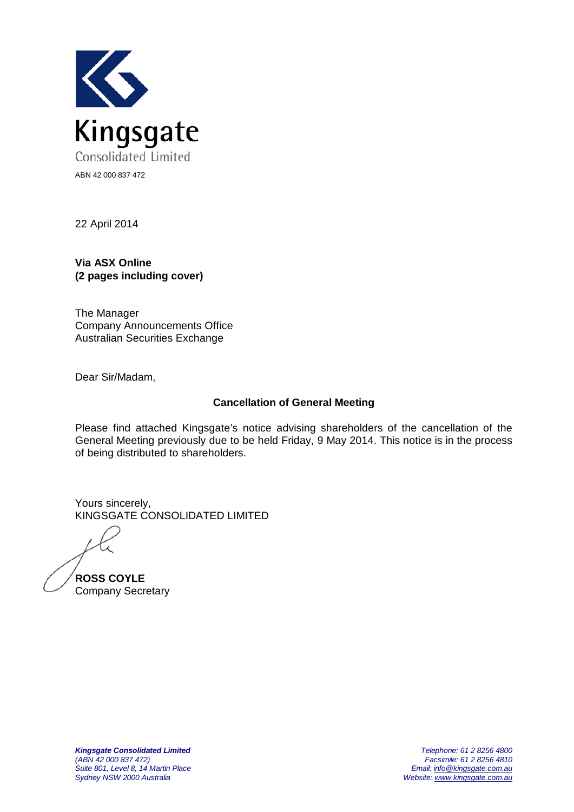

22 April 2014

**Via ASX Online (2 pages including cover)**

The Manager Company Announcements Office Australian Securities Exchange

Dear Sir/Madam,

## **Cancellation of General Meeting**

Please find attached Kingsgate's notice advising shareholders of the cancellation of the General Meeting previously due to be held Friday, 9 May 2014. This notice is in the process of being distributed to shareholders.

Yours sincerely, KINGSGATE CONSOLIDATED LIMITED

**ROSS COYLE** Company Secretary